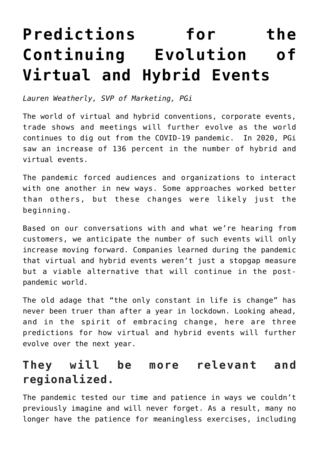## **[Predictions for the](https://www.commpro.biz/predictions-for-the-continuing-evolution-of-virtual-and-hybrid-events/) [Continuing Evolution of](https://www.commpro.biz/predictions-for-the-continuing-evolution-of-virtual-and-hybrid-events/) [Virtual and Hybrid Events](https://www.commpro.biz/predictions-for-the-continuing-evolution-of-virtual-and-hybrid-events/)**

*Lauren Weatherly, SVP of Marketing, [PGi](http://www.pgi.com/)*

The world of virtual and hybrid conventions, corporate events, trade shows and meetings will further evolve as the world continues to dig out from the COVID-19 pandemic. In 2020, PGi saw an increase of 136 percent in the number of hybrid and virtual events.

The pandemic forced audiences and organizations to interact with one another in new ways. Some approaches worked better than others, but these changes were likely just the beginning.

Based on our conversations with and what we're hearing from customers, we anticipate the number of such events will only increase moving forward. Companies learned during the pandemic that virtual and hybrid events weren't just a stopgap measure but a viable alternative that will continue in the postpandemic world.

The old adage that "the only constant in life is change" has never been truer than after a year in lockdown. Looking ahead, and in the spirit of embracing change, here are three predictions for how virtual and hybrid events will further evolve over the next year.

## **They will be more relevant and regionalized.**

Th[e pandemic](https://www.commpro.biz/?s=pandemic) tested our time and patience in ways we couldn't previously imagine and will never forget. As a result, many no longer have the patience for meaningless exercises, including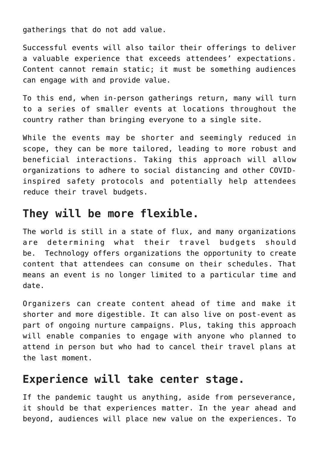gatherings that do not add value.

Successful events will also tailor their offerings to deliver a valuable experience that exceeds attendees' expectations. Content cannot remain static; it must be something audiences can engage with and provide value.

To this end, when in-person gatherings return, many will turn to a series of smaller events at locations throughout the country rather than bringing everyone to a single site.

While the events may be shorter and seemingly reduced in scope, they can be more tailored, leading to more robust and beneficial interactions. Taking this approach will allow organizations to adhere to social distancing and other COVIDinspired safety protocols and potentially help attendees reduce their travel budgets.

## **They will be more flexible.**

The world is still in a state of flux, and many organizations are determining what their travel budgets should be. Technology offers organizations the opportunity to create content that attendees can consume on their schedules. That means an event is no longer limited to a particular time and date.

Organizers can create content ahead of time and make it shorter and more digestible. It can also live on post-event as part of ongoing nurture campaigns. Plus, taking this approach will enable companies to engage with anyone who planned to attend in person but who had to cancel their travel plans at the last moment.

## **Experience will take center stage.**

If the pandemic taught us anything, aside from perseverance, it should be that experiences matter. In the year ahead and beyond, audiences will place new value on the experiences. To